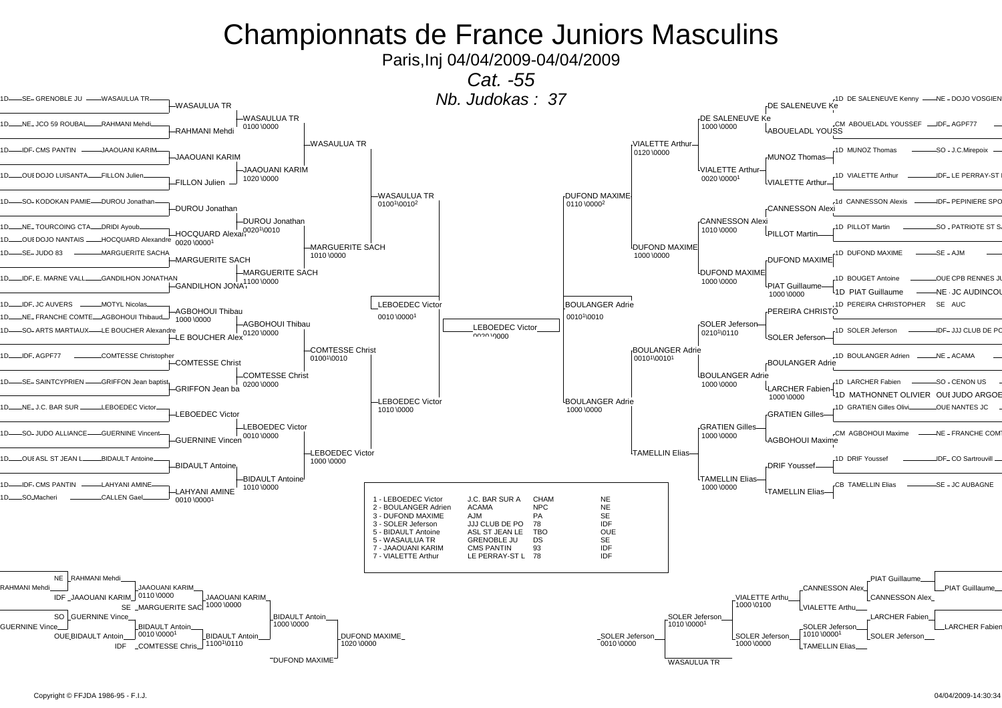Paris,Inj 04/04/2009-04/04/2009

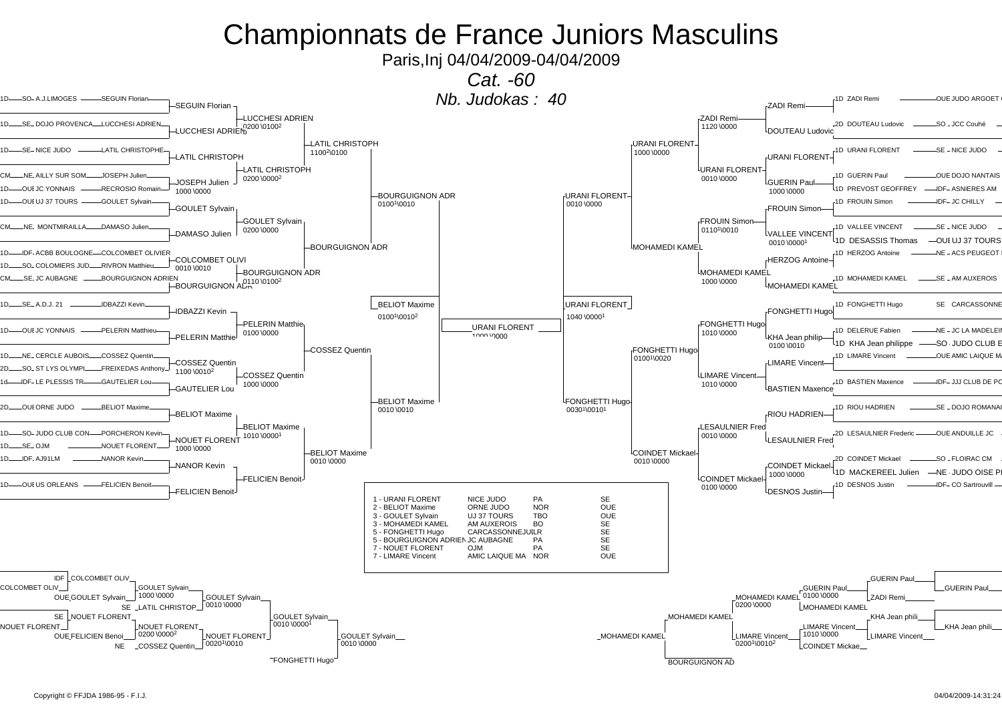Paris,Inj 04/04/2009-04/04/2009

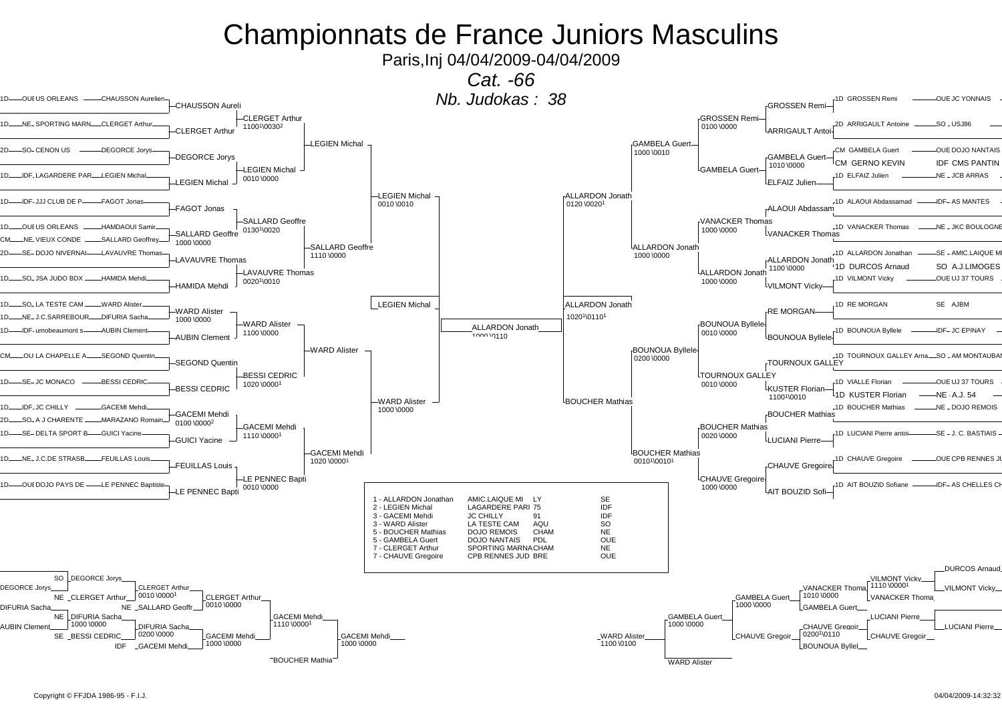Paris,Inj 04/04/2009-04/04/2009

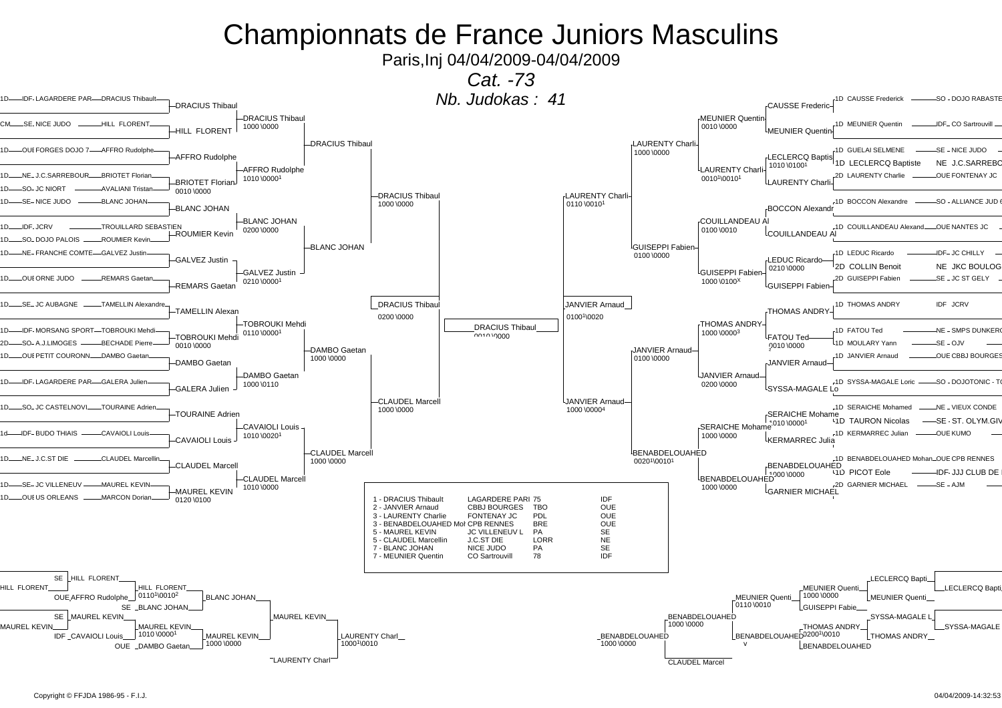Paris,Inj 04/04/2009-04/04/2009

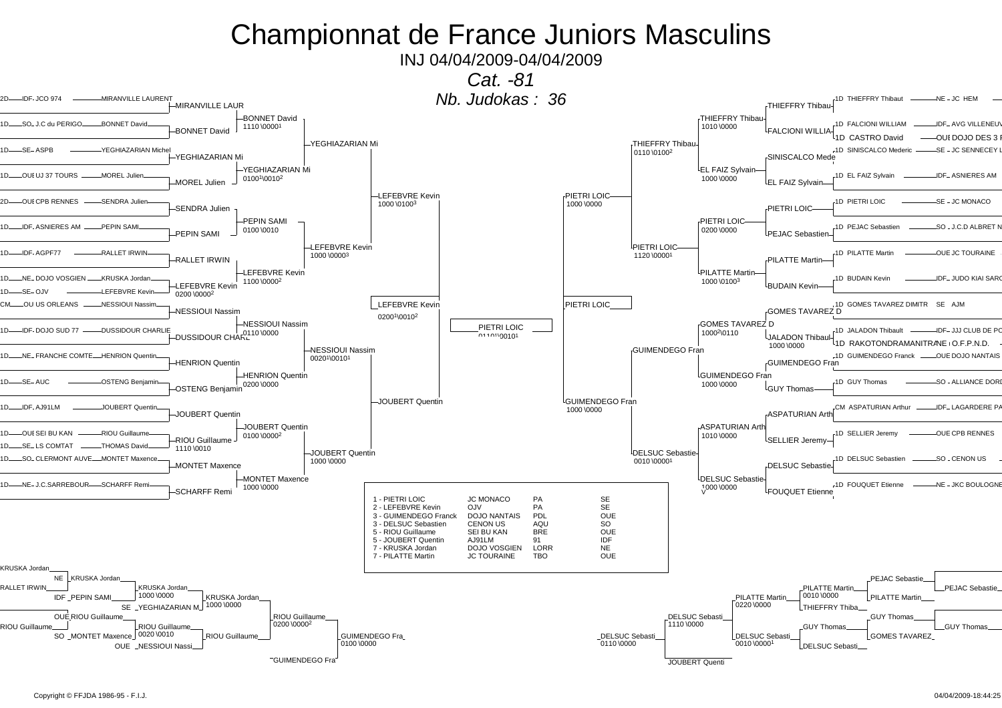INJ 04/04/2009-04/04/2009

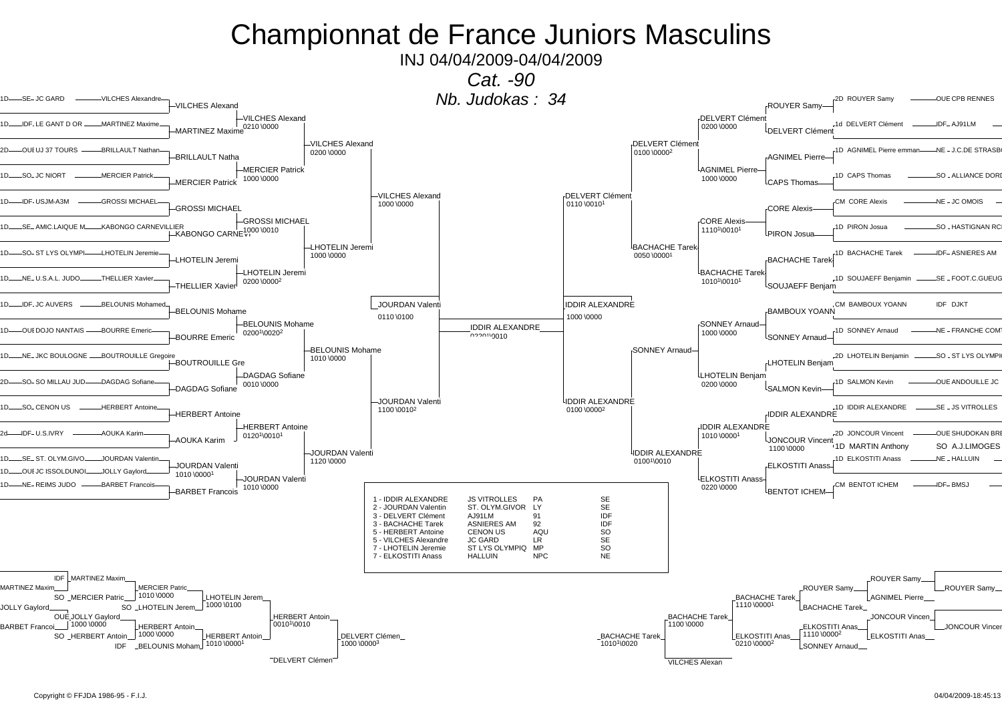INJ 04/04/2009-04/04/2009

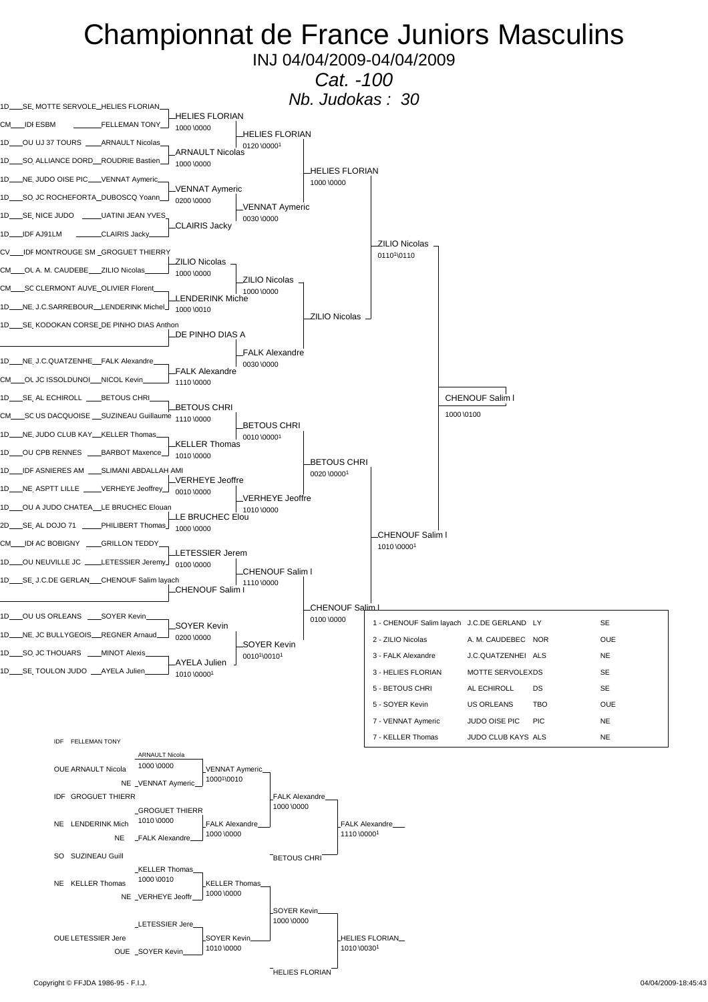